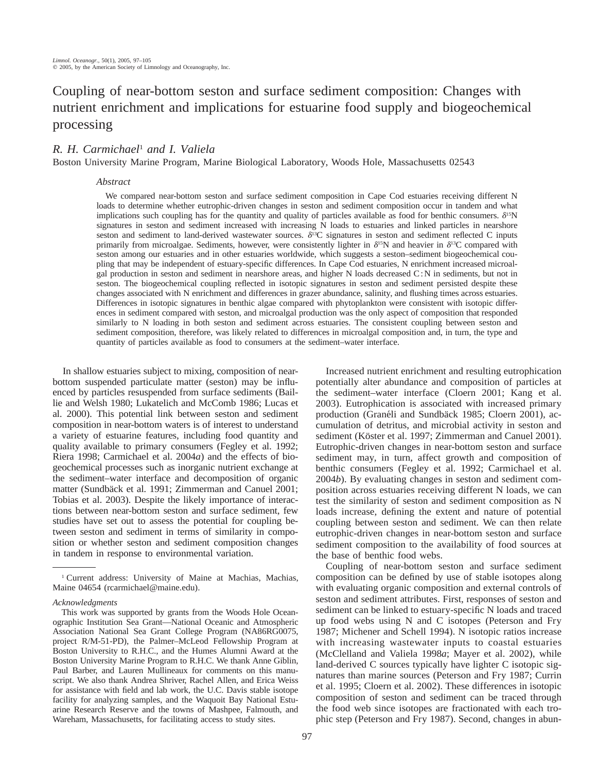# Coupling of near-bottom seston and surface sediment composition: Changes with nutrient enrichment and implications for estuarine food supply and biogeochemical processing

# *R. H. Carmichael*<sup>1</sup> *and I. Valiela*

Boston University Marine Program, Marine Biological Laboratory, Woods Hole, Massachusetts 02543

### *Abstract*

We compared near-bottom seston and surface sediment composition in Cape Cod estuaries receiving different N loads to determine whether eutrophic-driven changes in seston and sediment composition occur in tandem and what implications such coupling has for the quantity and quality of particles available as food for benthic consumers.  $\delta^{15}N$ signatures in seston and sediment increased with increasing N loads to estuaries and linked particles in nearshore seston and sediment to land-derived wastewater sources.  $\delta^{13}C$  signatures in seston and sediment reflected C inputs primarily from microalgae. Sediments, however, were consistently lighter in  $\delta^{15}N$  and heavier in  $\delta^{13}C$  compared with seston among our estuaries and in other estuaries worldwide, which suggests a seston–sediment biogeochemical coupling that may be independent of estuary-specific differences. In Cape Cod estuaries, N enrichment increased microalgal production in seston and sediment in nearshore areas, and higher N loads decreased C:N in sediments, but not in seston. The biogeochemical coupling reflected in isotopic signatures in seston and sediment persisted despite these changes associated with N enrichment and differences in grazer abundance, salinity, and flushing times across estuaries. Differences in isotopic signatures in benthic algae compared with phytoplankton were consistent with isotopic differences in sediment compared with seston, and microalgal production was the only aspect of composition that responded similarly to N loading in both seston and sediment across estuaries. The consistent coupling between seston and sediment composition, therefore, was likely related to differences in microalgal composition and, in turn, the type and quantity of particles available as food to consumers at the sediment–water interface.

In shallow estuaries subject to mixing, composition of nearbottom suspended particulate matter (seston) may be influenced by particles resuspended from surface sediments (Baillie and Welsh 1980; Lukatelich and McComb 1986; Lucas et al. 2000). This potential link between seston and sediment composition in near-bottom waters is of interest to understand a variety of estuarine features, including food quantity and quality available to primary consumers (Fegley et al. 1992; Riera 1998; Carmichael et al. 2004*a*) and the effects of biogeochemical processes such as inorganic nutrient exchange at the sediment–water interface and decomposition of organic matter (Sundbäck et al. 1991; Zimmerman and Canuel 2001; Tobias et al. 2003). Despite the likely importance of interactions between near-bottom seston and surface sediment, few studies have set out to assess the potential for coupling between seston and sediment in terms of similarity in composition or whether seston and sediment composition changes in tandem in response to environmental variation.

Increased nutrient enrichment and resulting eutrophication potentially alter abundance and composition of particles at the sediment–water interface (Cloern 2001; Kang et al. 2003). Eutrophication is associated with increased primary production (Granéli and Sundbäck 1985; Cloern 2001), accumulation of detritus, and microbial activity in seston and sediment (Köster et al. 1997; Zimmerman and Canuel 2001). Eutrophic-driven changes in near-bottom seston and surface sediment may, in turn, affect growth and composition of benthic consumers (Fegley et al. 1992; Carmichael et al. 2004*b*). By evaluating changes in seston and sediment composition across estuaries receiving different N loads, we can test the similarity of seston and sediment composition as N loads increase, defining the extent and nature of potential coupling between seston and sediment. We can then relate eutrophic-driven changes in near-bottom seston and surface sediment composition to the availability of food sources at the base of benthic food webs.

Coupling of near-bottom seston and surface sediment composition can be defined by use of stable isotopes along with evaluating organic composition and external controls of seston and sediment attributes. First, responses of seston and sediment can be linked to estuary-specific N loads and traced up food webs using N and C isotopes (Peterson and Fry 1987; Michener and Schell 1994). N isotopic ratios increase with increasing wastewater inputs to coastal estuaries (McClelland and Valiela 1998*a*; Mayer et al. 2002), while land-derived C sources typically have lighter C isotopic signatures than marine sources (Peterson and Fry 1987; Currin et al. 1995; Cloern et al. 2002). These differences in isotopic composition of seston and sediment can be traced through the food web since isotopes are fractionated with each trophic step (Peterson and Fry 1987). Second, changes in abun-

<sup>&</sup>lt;sup>1</sup> Current address: University of Maine at Machias, Machias, Maine 04654 (rcarmichael@maine.edu).

*Acknowledgments*

This work was supported by grants from the Woods Hole Oceanographic Institution Sea Grant—National Oceanic and Atmospheric Association National Sea Grant College Program (NA86RG0075, project R/M-51-PD), the Palmer–McLeod Fellowship Program at Boston University to R.H.C., and the Humes Alumni Award at the Boston University Marine Program to R.H.C. We thank Anne Giblin, Paul Barber, and Lauren Mullineaux for comments on this manuscript. We also thank Andrea Shriver, Rachel Allen, and Erica Weiss for assistance with field and lab work, the U.C. Davis stable isotope facility for analyzing samples, and the Waquoit Bay National Estuarine Research Reserve and the towns of Mashpee, Falmouth, and Wareham, Massachusetts, for facilitating access to study sites.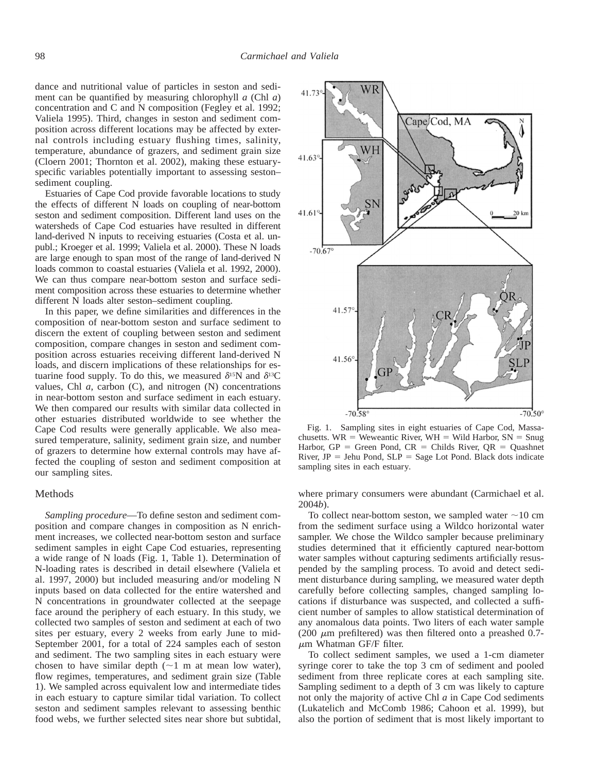dance and nutritional value of particles in seston and sediment can be quantified by measuring chlorophyll *a* (Chl *a*) concentration and C and N composition (Fegley et al. 1992; Valiela 1995). Third, changes in seston and sediment composition across different locations may be affected by external controls including estuary flushing times, salinity, temperature, abundance of grazers, and sediment grain size (Cloern 2001; Thornton et al. 2002), making these estuaryspecific variables potentially important to assessing seston– sediment coupling.

Estuaries of Cape Cod provide favorable locations to study the effects of different N loads on coupling of near-bottom seston and sediment composition. Different land uses on the watersheds of Cape Cod estuaries have resulted in different land-derived N inputs to receiving estuaries (Costa et al. unpubl.; Kroeger et al. 1999; Valiela et al. 2000). These N loads are large enough to span most of the range of land-derived N loads common to coastal estuaries (Valiela et al. 1992, 2000). We can thus compare near-bottom seston and surface sediment composition across these estuaries to determine whether different N loads alter seston–sediment coupling.

In this paper, we define similarities and differences in the composition of near-bottom seston and surface sediment to discern the extent of coupling between seston and sediment composition, compare changes in seston and sediment composition across estuaries receiving different land-derived N loads, and discern implications of these relationships for estuarine food supply. To do this, we measured  $\delta^{15}N$  and  $\delta^{13}C$ values, Chl *a*, carbon (C), and nitrogen (N) concentrations in near-bottom seston and surface sediment in each estuary. We then compared our results with similar data collected in other estuaries distributed worldwide to see whether the Cape Cod results were generally applicable. We also measured temperature, salinity, sediment grain size, and number of grazers to determine how external controls may have affected the coupling of seston and sediment composition at our sampling sites.

# Methods

*Sampling procedure*—To define seston and sediment composition and compare changes in composition as N enrichment increases, we collected near-bottom seston and surface sediment samples in eight Cape Cod estuaries, representing a wide range of N loads (Fig. 1, Table 1). Determination of N-loading rates is described in detail elsewhere (Valiela et al. 1997, 2000) but included measuring and/or modeling N inputs based on data collected for the entire watershed and N concentrations in groundwater collected at the seepage face around the periphery of each estuary. In this study, we collected two samples of seston and sediment at each of two sites per estuary, every 2 weeks from early June to mid-September 2001, for a total of 224 samples each of seston and sediment. The two sampling sites in each estuary were chosen to have similar depth  $(\sim 1 \text{ m at mean low water})$ , flow regimes, temperatures, and sediment grain size (Table 1). We sampled across equivalent low and intermediate tides in each estuary to capture similar tidal variation. To collect seston and sediment samples relevant to assessing benthic food webs, we further selected sites near shore but subtidal,



Fig. 1. Sampling sites in eight estuaries of Cape Cod, Massachusetts. WR = Weweantic River, WH = Wild Harbor,  $SN = Snug$ Harbor,  $GP = Green$  Pond,  $CR = Childs$  River,  $QR = Quashnet$ River,  $JP =$  Jehu Pond,  $SLP =$  Sage Lot Pond. Black dots indicate sampling sites in each estuary.

where primary consumers were abundant (Carmichael et al. 2004*b*).

To collect near-bottom seston, we sampled water  $\sim$ 10 cm from the sediment surface using a Wildco horizontal water sampler. We chose the Wildco sampler because preliminary studies determined that it efficiently captured near-bottom water samples without capturing sediments artificially resuspended by the sampling process. To avoid and detect sediment disturbance during sampling, we measured water depth carefully before collecting samples, changed sampling locations if disturbance was suspected, and collected a sufficient number of samples to allow statistical determination of any anomalous data points. Two liters of each water sample (200  $\mu$ m prefiltered) was then filtered onto a preashed 0.7- $\mu$ m Whatman GF/F filter.

To collect sediment samples, we used a 1-cm diameter syringe corer to take the top 3 cm of sediment and pooled sediment from three replicate cores at each sampling site. Sampling sediment to a depth of 3 cm was likely to capture not only the majority of active Chl *a* in Cape Cod sediments (Lukatelich and McComb 1986; Cahoon et al. 1999), but also the portion of sediment that is most likely important to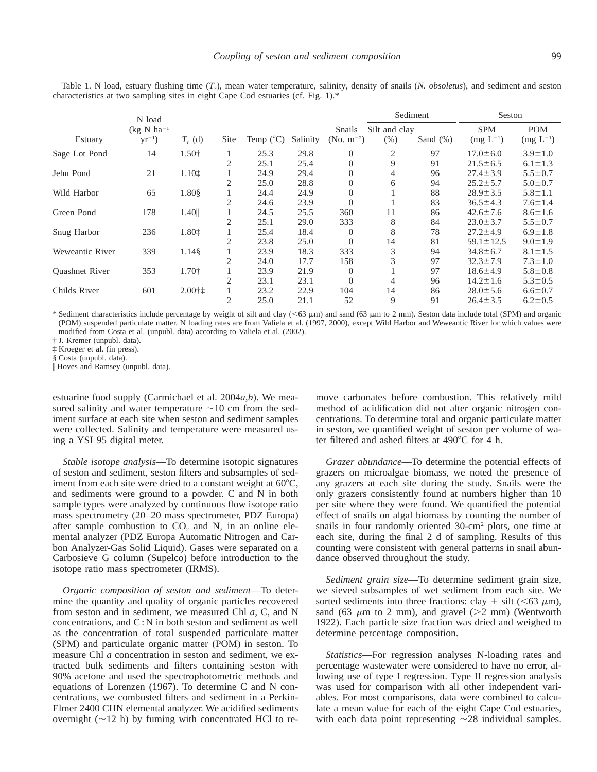Table 1. N load, estuary flushing time (*Tr*), mean water temperature, salinity, density of snails (*N. obsoletus*), and sediment and seston characteristics at two sampling sites in eight Cape Cod estuaries (cf. Fig. 1).\*

|                       | N load                                          |                     |                      |                    |              |                          | Sediment              |             | Seston                            |                                |
|-----------------------|-------------------------------------------------|---------------------|----------------------|--------------------|--------------|--------------------------|-----------------------|-------------|-----------------------------------|--------------------------------|
| Estuary               | $(kg \text{ N} \text{ ha}^{-1})$<br>$yr^{-1}$ ) | $T_{r}$ (d)         | Site                 | Temp $(^{\circ}C)$ | Salinity     | Snails<br>$(No. m^{-2})$ | Silt and clay<br>(% ) | Sand $(\%)$ | <b>SPM</b><br>$(mg L^{-1})$       | <b>POM</b><br>$(mg L^{-1})$    |
| Sage Lot Pond         | 14                                              | 1.50+               | 2                    | 25.3<br>25.1       | 29.8<br>25.4 | $\theta$<br>0            | 2<br>9                | 97<br>91    | $17.0 \pm 6.0$<br>$21.5 \pm 6.5$  | $3.9 \pm 1.0$<br>$6.1 \pm 1.3$ |
| Jehu Pond             | 21                                              | 1.101               |                      | 24.9               | 29.4         | $\theta$                 | 4                     | 96          | $27.4 \pm 3.9$                    | $5.5 \pm 0.7$                  |
| Wild Harbor           | 65                                              | 1.80\$              | $\overline{2}$       | 25.0<br>24.4       | 28.8<br>24.9 | 0<br>0                   | 6                     | 94<br>88    | $25.2 \pm 5.7$<br>$28.9 \pm 3.5$  | $5.0 \pm 0.7$<br>$5.8 \pm 1.1$ |
| Green Pond            | 178                                             | 1.40                | 2                    | 24.6<br>24.5       | 23.9<br>25.5 | $\theta$<br>360          | 11                    | 83<br>86    | $36.5 \pm 4.3$<br>$42.6 \pm 7.6$  | $7.6 \pm 1.4$<br>$8.6 \pm 1.6$ |
| Snug Harbor           | 236                                             | 1.80‡               | $\overline{c}$<br>л. | 25.1<br>25.4       | 29.0<br>18.4 | 333<br>$\theta$          | 8<br>8                | 84<br>78    | $23.0 \pm 3.7$<br>$27.2 \pm 4.9$  | $5.5 \pm 0.7$<br>$6.9 \pm 1.8$ |
| Weweantic River       | 339                                             | 1.148               | 2                    | 23.8<br>23.9       | 25.0<br>18.3 | $\Omega$<br>333          | 14<br>3               | 81<br>94    | $59.1 \pm 12.5$<br>$34.8 \pm 6.7$ | $9.0 \pm 1.9$<br>$8.1 \pm 1.5$ |
| <b>Ouashnet River</b> | 353                                             | 1.70+               | $\overline{c}$       | 24.0<br>23.9       | 17.7<br>21.9 | 158<br>$\theta$          | 3                     | 97<br>97    | $32.3 \pm 7.9$<br>$18.6 \pm 4.9$  | $7.3 \pm 1.0$<br>$5.8 \pm 0.8$ |
|                       |                                                 |                     | $\overline{2}$       | 23.1               | 23.1         | $\Omega$                 | 4                     | 96          | $14.2 \pm 1.6$                    | $5.3 \pm 0.5$                  |
| Childs River          | 601                                             | $2.00$ † $\ddagger$ | 2                    | 23.2<br>25.0       | 22.9<br>21.1 | 104<br>52                | 14<br>9               | 86<br>91    | $28.0 \pm 5.6$<br>$26.4 \pm 3.5$  | $6.6 \pm 0.7$<br>$6.2 \pm 0.5$ |

\* Sediment characteristics include percentage by weight of silt and clay ( $\leq 63 \mu m$ ) and sand (63  $\mu m$  to 2 mm). Seston data include total (SPM) and organic (POM) suspended particulate matter. N loading rates are from Valiela et al. (1997, 2000), except Wild Harbor and Weweantic River for which values were modified from Costa et al. (unpubl. data) according to Valiela et al. (2002).

† J. Kremer (unpubl. data).

‡ Kroeger et al. (in press).

§ Costa (unpubl. data).

\ Hoves and Ramsey (unpubl. data).

estuarine food supply (Carmichael et al. 2004*a,b*). We measured salinity and water temperature  $\sim$ 10 cm from the sediment surface at each site when seston and sediment samples were collected. Salinity and temperature were measured using a YSI 95 digital meter.

*Stable isotope analysis*—To determine isotopic signatures of seston and sediment, seston filters and subsamples of sediment from each site were dried to a constant weight at  $60^{\circ}$ C, and sediments were ground to a powder. C and N in both sample types were analyzed by continuous flow isotope ratio mass spectrometry (20–20 mass spectrometer, PDZ Europa) after sample combustion to  $CO<sub>2</sub>$  and  $N<sub>2</sub>$  in an online elemental analyzer (PDZ Europa Automatic Nitrogen and Carbon Analyzer-Gas Solid Liquid). Gases were separated on a Carbosieve G column (Supelco) before introduction to the isotope ratio mass spectrometer (IRMS).

*Organic composition of seston and sediment*—To determine the quantity and quality of organic particles recovered from seston and in sediment, we measured Chl *a,* C, and N concentrations, and C : N in both seston and sediment as well as the concentration of total suspended particulate matter (SPM) and particulate organic matter (POM) in seston. To measure Chl *a* concentration in seston and sediment, we extracted bulk sediments and filters containing seston with 90% acetone and used the spectrophotometric methods and equations of Lorenzen (1967). To determine C and N concentrations, we combusted filters and sediment in a Perkin-Elmer 2400 CHN elemental analyzer. We acidified sediments overnight  $(\sim 12$  h) by fuming with concentrated HCl to remove carbonates before combustion. This relatively mild method of acidification did not alter organic nitrogen concentrations. To determine total and organic particulate matter in seston, we quantified weight of seston per volume of water filtered and ashed filters at  $490^{\circ}$ C for 4 h.

*Grazer abundance*—To determine the potential effects of grazers on microalgae biomass, we noted the presence of any grazers at each site during the study. Snails were the only grazers consistently found at numbers higher than 10 per site where they were found. We quantified the potential effect of snails on algal biomass by counting the number of snails in four randomly oriented 30-cm2 plots, one time at each site, during the final 2 d of sampling. Results of this counting were consistent with general patterns in snail abundance observed throughout the study.

*Sediment grain size*—To determine sediment grain size, we sieved subsamples of wet sediment from each site. We sorted sediments into three fractions: clay + silt ( $\leq 63 \mu$ m), sand (63  $\mu$ m to 2 mm), and gravel ( $>$ 2 mm) (Wentworth 1922). Each particle size fraction was dried and weighed to determine percentage composition.

*Statistics*—For regression analyses N-loading rates and percentage wastewater were considered to have no error, allowing use of type I regression. Type II regression analysis was used for comparison with all other independent variables. For most comparisons, data were combined to calculate a mean value for each of the eight Cape Cod estuaries, with each data point representing  $\sim$ 28 individual samples.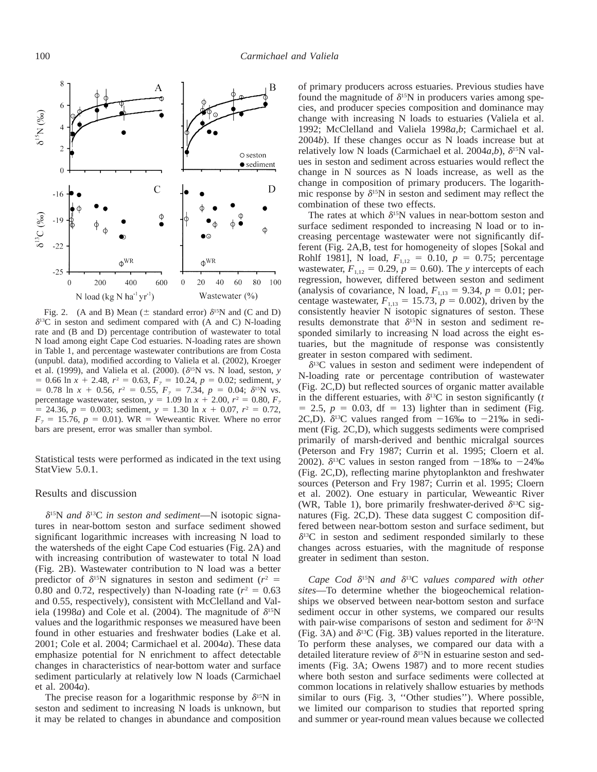

Fig. 2. (A and B) Mean ( $\pm$  standard error)  $\delta^{15}N$  and (C and D)  $\delta^{13}$ C in seston and sediment compared with (A and C) N-loading rate and (B and D) percentage contribution of wastewater to total N load among eight Cape Cod estuaries. N-loading rates are shown in Table 1, and percentage wastewater contributions are from Costa (unpubl. data), modified according to Valiela et al. (2002), Kroeger et al. (1999), and Valiela et al. (2000). ( $\delta^{15}$ N vs. N load, seston, *y*  $= 0.66 \ln x + 2.48$ ,  $r^2 = 0.63$ ,  $F_7 = 10.24$ ,  $p = 0.02$ ; sediment, *y*  $= 0.78 \ln x + 0.56$ ,  $r^2 = 0.55$ ,  $F_7 = 7.34$ ,  $p = 0.04$ ;  $\delta^{15}$ N vs. percentage wastewater, seston,  $y = 1.09 \ln x + 2.00$ ,  $r^2 = 0.80$ ,  $F_7$  $= 24.36, p = 0.003$ ; sediment,  $y = 1.30 \ln x + 0.07$ ,  $r^2 = 0.72$ ,  $F_7 = 15.76$ ,  $p = 0.01$ ). WR = Weweantic River. Where no error bars are present, error was smaller than symbol.

Statistical tests were performed as indicated in the text using StatView 5.0.1.

### Results and discussion

 $\delta^{15}N$  *and*  $\delta^{13}C$  *in seston and sediment*—N isotopic signatures in near-bottom seston and surface sediment showed significant logarithmic increases with increasing N load to the watersheds of the eight Cape Cod estuaries (Fig. 2A) and with increasing contribution of wastewater to total N load (Fig. 2B). Wastewater contribution to N load was a better predictor of  $\delta^{15}N$  signatures in seston and sediment ( $r^2$  = 0.80 and 0.72, respectively) than N-loading rate  $(r^2 = 0.63)$ and 0.55, respectively), consistent with McClelland and Valiela (1998*a*) and Cole et al. (2004). The magnitude of  $\delta^{15}N$ values and the logarithmic responses we measured have been found in other estuaries and freshwater bodies (Lake et al. 2001; Cole et al. 2004; Carmichael et al. 2004*a*). These data emphasize potential for N enrichment to affect detectable changes in characteristics of near-bottom water and surface sediment particularly at relatively low N loads (Carmichael et al. 2004*a*).

The precise reason for a logarithmic response by  $\delta^{15}N$  in seston and sediment to increasing N loads is unknown, but it may be related to changes in abundance and composition

of primary producers across estuaries. Previous studies have found the magnitude of  $\delta^{15}N$  in producers varies among species, and producer species composition and dominance may change with increasing N loads to estuaries (Valiela et al. 1992; McClelland and Valiela 1998*a,b*; Carmichael et al. 2004*b*). If these changes occur as N loads increase but at relatively low N loads (Carmichael et al. 2004 $a$ ,  $b$ ),  $\delta^{15}$ N values in seston and sediment across estuaries would reflect the change in N sources as N loads increase, as well as the change in composition of primary producers. The logarithmic response by  $\delta^{15}N$  in seston and sediment may reflect the combination of these two effects.

The rates at which  $\delta^{15}N$  values in near-bottom seston and surface sediment responded to increasing N load or to increasing percentage wastewater were not significantly different (Fig. 2A,B, test for homogeneity of slopes [Sokal and Rohlf 1981], N load,  $F_{1,12} = 0.10$ ,  $p = 0.75$ ; percentage wastewater,  $F_{1,12} = 0.29$ ,  $p = 0.60$ ). The *y* intercepts of each regression, however, differed between seston and sediment (analysis of covariance, N load,  $F_{1,13} = 9.34$ ,  $p = 0.01$ ; percentage wastewater,  $F_{1,13} = 15.73$ ,  $p = 0.002$ ), driven by the consistently heavier N isotopic signatures of seston. These results demonstrate that  $\delta^{15}N$  in seston and sediment responded similarly to increasing N load across the eight estuaries, but the magnitude of response was consistently greater in seston compared with sediment.

 $\delta^{13}$ C values in seston and sediment were independent of N-loading rate or percentage contribution of wastewater (Fig. 2C,D) but reflected sources of organic matter available in the different estuaries, with  $\delta^{13}$ C in seston significantly (*t*  $= 2.5$ ,  $p = 0.03$ , df  $= 13$ ) lighter than in sediment (Fig. 2C,D).  $\delta^{13}$ C values ranged from  $-16\%$  to  $-21\%$  in sediment (Fig. 2C,D), which suggests sediments were comprised primarily of marsh-derived and benthic micralgal sources (Peterson and Fry 1987; Currin et al. 1995; Cloern et al. 2002).  $\delta^{13}$ C values in seston ranged from  $-18\%$  to  $-24\%$ (Fig. 2C,D), reflecting marine phytoplankton and freshwater sources (Peterson and Fry 1987; Currin et al. 1995; Cloern et al. 2002). One estuary in particular, Weweantic River (WR, Table 1), bore primarily freshwater-derived  $\delta^{13}C$  signatures (Fig. 2C,D). These data suggest C composition differed between near-bottom seston and surface sediment, but  $\delta^{13}$ C in seston and sediment responded similarly to these changes across estuaries, with the magnitude of response greater in sediment than seston.

 $Cape$   $Cod$   $\delta^{15}N$  *and*  $\delta^{13}C$  *values compared with other sites*—To determine whether the biogeochemical relationships we observed between near-bottom seston and surface sediment occur in other systems, we compared our results with pair-wise comparisons of seston and sediment for  $\delta^{15}N$ (Fig. 3A) and  $\delta^{13}$ C (Fig. 3B) values reported in the literature. To perform these analyses, we compared our data with a detailed literature review of  $\delta^{15}N$  in estuarine seston and sediments (Fig. 3A; Owens 1987) and to more recent studies where both seston and surface sediments were collected at common locations in relatively shallow estuaries by methods similar to ours (Fig. 3, ''Other studies''). Where possible, we limited our comparison to studies that reported spring and summer or year-round mean values because we collected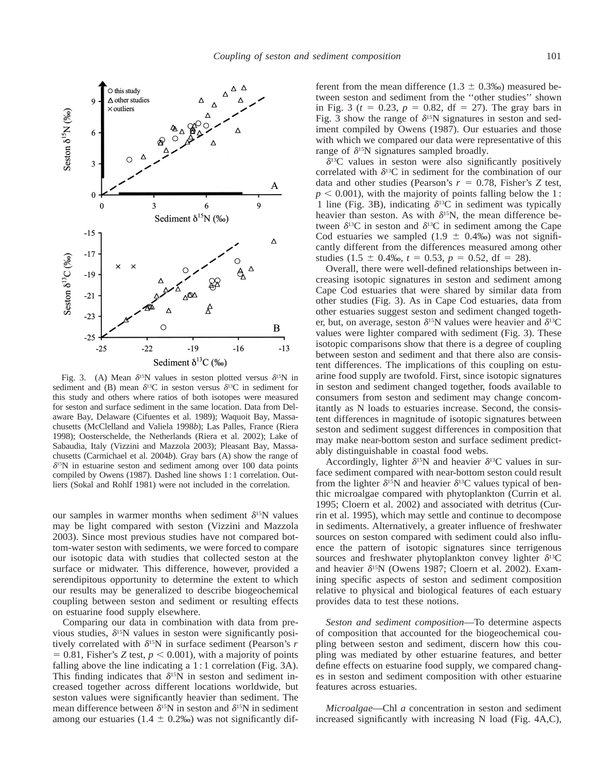

Fig. 3. (A) Mean  $\delta^{15}N$  values in seston plotted versus  $\delta^{15}N$  in sediment and (B) mean  $\delta^{13}$ C in seston versus  $\delta^{13}$ C in sediment for this study and others where ratios of both isotopes were measured for seston and surface sediment in the same location. Data from Delaware Bay, Delaware (Cifuentes et al. 1989); Waquoit Bay, Massachusetts (McClelland and Valiela 1998*b*); Las Palles, France (Riera 1998); Oosterschelde, the Netherlands (Riera et al. 2002); Lake of Sabaudia, Italy (Vizzini and Mazzola 2003); Pleasant Bay, Massachusetts (Carmichael et al. 2004*b*). Gray bars (A) show the range of  $\delta^{15}$ N in estuarine seston and sediment among over 100 data points compiled by Owens (1987). Dashed line shows 1 :1 correlation. Outliers (Sokal and Rohlf 1981) were not included in the correlation.

our samples in warmer months when sediment  $\delta^{15}N$  values may be light compared with seston (Vizzini and Mazzola 2003). Since most previous studies have not compared bottom-water seston with sediments, we were forced to compare our isotopic data with studies that collected seston at the surface or midwater. This difference, however, provided a serendipitous opportunity to determine the extent to which our results may be generalized to describe biogeochemical coupling between seston and sediment or resulting effects on estuarine food supply elsewhere.

Comparing our data in combination with data from previous studies,  $\delta^{15}N$  values in seston were significantly positively correlated with  $\delta^{15}N$  in surface sediment (Pearson's  $r$  $= 0.81$ , Fisher's *Z* test,  $p < 0.001$ ), with a majority of points falling above the line indicating a 1:1 correlation (Fig. 3A). This finding indicates that  $\delta^{15}N$  in seston and sediment increased together across different locations worldwide, but seston values were significantly heavier than sediment. The mean difference between  $\delta^{15}N$  in seston and  $\delta^{15}N$  in sediment among our estuaries (1.4  $\pm$  0.2‰) was not significantly different from the mean difference (1.3  $\pm$  0.3‰) measured between seston and sediment from the ''other studies'' shown in Fig. 3 ( $t = 0.23$ ,  $p = 0.82$ , df = 27). The gray bars in Fig. 3 show the range of  $\delta^{15}N$  signatures in seston and sediment compiled by Owens (1987). Our estuaries and those with which we compared our data were representative of this range of  $\delta^{15}N$  signatures sampled broadly.

 $\delta^{13}$ C values in seston were also significantly positively correlated with  $\delta^{13}$ C in sediment for the combination of our data and other studies (Pearson's  $r = 0.78$ , Fisher's *Z* test,  $p < 0.001$ ), with the majority of points falling below the 1: 1 line (Fig. 3B), indicating  $\delta^{13}$ C in sediment was typically heavier than seston. As with  $\delta^{15}N$ , the mean difference between  $\delta^{13}$ C in seston and  $\delta^{13}$ C in sediment among the Cape Cod estuaries we sampled (1.9  $\pm$  0.4‰) was not significantly different from the differences measured among other studies  $(1.5 \pm 0.4\%, t = 0.53, p = 0.52, df = 28)$ .

Overall, there were well-defined relationships between increasing isotopic signatures in seston and sediment among Cape Cod estuaries that were shared by similar data from other studies (Fig. 3). As in Cape Cod estuaries, data from other estuaries suggest seston and sediment changed together, but, on average, seston  $\delta^{15}N$  values were heavier and  $\delta^{13}C$ values were lighter compared with sediment (Fig. 3). These isotopic comparisons show that there is a degree of coupling between seston and sediment and that there also are consistent differences. The implications of this coupling on estuarine food supply are twofold. First, since isotopic signatures in seston and sediment changed together, foods available to consumers from seston and sediment may change concomitantly as N loads to estuaries increase. Second, the consistent differences in magnitude of isotopic signatures between seston and sediment suggest differences in composition that may make near-bottom seston and surface sediment predictably distinguishable in coastal food webs.

Accordingly, lighter  $\delta^{15}N$  and heavier  $\delta^{13}C$  values in surface sediment compared with near-bottom seston could result from the lighter  $\delta^{15}N$  and heavier  $\delta^{13}C$  values typical of benthic microalgae compared with phytoplankton (Currin et al. 1995; Cloern et al. 2002) and associated with detritus (Currin et al. 1995), which may settle and continue to decompose in sediments. Alternatively, a greater influence of freshwater sources on seston compared with sediment could also influence the pattern of isotopic signatures since terrigenous sources and freshwater phytoplankton convey lighter  $\delta^{13}C$ and heavier  $\delta^{15}N$  (Owens 1987; Cloern et al. 2002). Examining specific aspects of seston and sediment composition relative to physical and biological features of each estuary provides data to test these notions.

*Seston and sediment composition*—To determine aspects of composition that accounted for the biogeochemical coupling between seston and sediment, discern how this coupling was mediated by other estuarine features, and better define effects on estuarine food supply, we compared changes in seston and sediment composition with other estuarine features across estuaries.

*Microalgae*—Chl *a* concentration in seston and sediment increased significantly with increasing N load (Fig. 4A,C),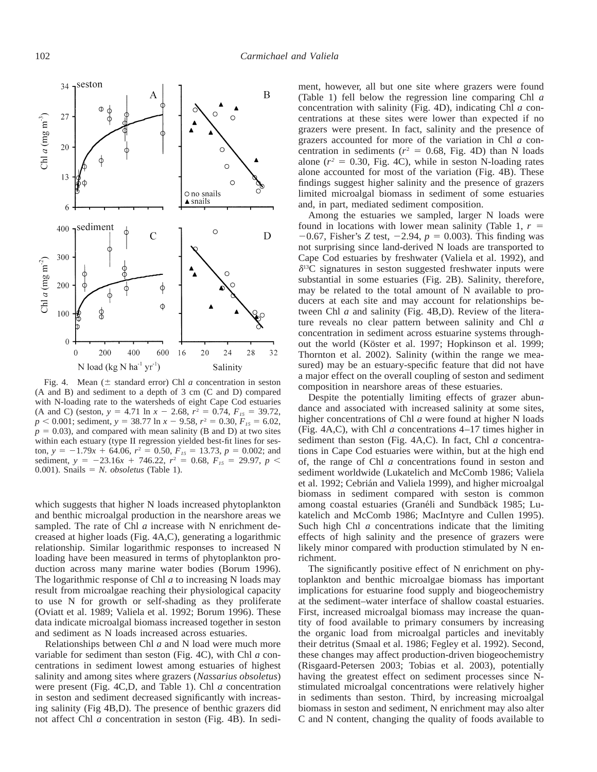

Fig. 4. Mean  $(\pm$  standard error) Chl *a* concentration in seston (A and B) and sediment to a depth of 3 cm (C and D) compared with N-loading rate to the watersheds of eight Cape Cod estuaries (A and C) (seston,  $y = 4.71 \ln x - 2.68$ ,  $r^2 = 0.74$ ,  $F_{15} = 39.72$ ,  $p < 0.001$ ; sediment,  $y = 38.77 \ln x - 9.58$ ,  $r^2 = 0.30$ ,  $F_{15} = 6.02$ ,  $p = 0.03$ ), and compared with mean salinity (B and D) at two sites within each estuary (type II regression yielded best-fit lines for seston,  $y = -1.79x + 64.06$ ,  $r^2 = 0.50$ ,  $F_{15} = 13.73$ ,  $p = 0.002$ ; and sediment,  $y = -23.16x + 746.22$ ,  $r^2 = 0.68$ ,  $F_{15} = 29.97$ ,  $p <$ 0.001). Snails  $= N$ . *obsoletus* (Table 1).

which suggests that higher N loads increased phytoplankton and benthic microalgal production in the nearshore areas we sampled. The rate of Chl *a* increase with N enrichment decreased at higher loads (Fig. 4A,C), generating a logarithmic relationship. Similar logarithmic responses to increased N loading have been measured in terms of phytoplankton production across many marine water bodies (Borum 1996). The logarithmic response of Chl *a* to increasing N loads may result from microalgae reaching their physiological capacity to use N for growth or self-shading as they proliferate (Oviatt et al. 1989; Valiela et al. 1992; Borum 1996). These data indicate microalgal biomass increased together in seston and sediment as N loads increased across estuaries.

Relationships between Chl *a* and N load were much more variable for sediment than seston (Fig. 4C), with Chl *a* concentrations in sediment lowest among estuaries of highest salinity and among sites where grazers (*Nassarius obsoletus*) were present (Fig. 4C,D, and Table 1). Chl *a* concentration in seston and sediment decreased significantly with increasing salinity (Fig 4B,D). The presence of benthic grazers did not affect Chl *a* concentration in seston (Fig. 4B). In sedi-

ment, however, all but one site where grazers were found (Table 1) fell below the regression line comparing Chl *a* concentration with salinity (Fig. 4D), indicating Chl *a* concentrations at these sites were lower than expected if no grazers were present. In fact, salinity and the presence of grazers accounted for more of the variation in Chl *a* concentration in sediments ( $r^2 = 0.68$ , Fig. 4D) than N loads alone  $(r^2 = 0.30,$  Fig. 4C), while in seston N-loading rates alone accounted for most of the variation (Fig. 4B). These findings suggest higher salinity and the presence of grazers limited microalgal biomass in sediment of some estuaries and, in part, mediated sediment composition.

Among the estuaries we sampled, larger N loads were found in locations with lower mean salinity (Table 1,  $r =$  $-0.67$ , Fisher's *Z* test,  $-2.94$ ,  $p = 0.003$ ). This finding was not surprising since land-derived N loads are transported to Cape Cod estuaries by freshwater (Valiela et al. 1992), and  $\delta$ <sup>13</sup>C signatures in seston suggested freshwater inputs were substantial in some estuaries (Fig. 2B). Salinity, therefore, may be related to the total amount of N available to producers at each site and may account for relationships between Chl *a* and salinity (Fig. 4B,D). Review of the literature reveals no clear pattern between salinity and Chl *a* concentration in sediment across estuarine systems throughout the world (Köster et al. 1997; Hopkinson et al. 1999; Thornton et al. 2002). Salinity (within the range we measured) may be an estuary-specific feature that did not have a major effect on the overall coupling of seston and sediment composition in nearshore areas of these estuaries.

Despite the potentially limiting effects of grazer abundance and associated with increased salinity at some sites, higher concentrations of Chl *a* were found at higher N loads (Fig. 4A,C), with Chl *a* concentrations 4–17 times higher in sediment than seston (Fig. 4A,C). In fact, Chl *a* concentrations in Cape Cod estuaries were within, but at the high end of, the range of Chl *a* concentrations found in seston and sediment worldwide (Lukatelich and McComb 1986; Valiela et al. 1992; Cebrián and Valiela 1999), and higher microalgal biomass in sediment compared with seston is common among coastal estuaries (Granéli and Sundbäck 1985; Lukatelich and McComb 1986; MacIntyre and Cullen 1995). Such high Chl *a* concentrations indicate that the limiting effects of high salinity and the presence of grazers were likely minor compared with production stimulated by N enrichment.

The significantly positive effect of N enrichment on phytoplankton and benthic microalgae biomass has important implications for estuarine food supply and biogeochemistry at the sediment–water interface of shallow coastal estuaries. First, increased microalgal biomass may increase the quantity of food available to primary consumers by increasing the organic load from microalgal particles and inevitably their detritus (Smaal et al. 1986; Fegley et al. 1992). Second, these changes may affect production-driven biogeochemistry (Risgaard-Petersen 2003; Tobias et al. 2003), potentially having the greatest effect on sediment processes since Nstimulated microalgal concentrations were relatively higher in sediments than seston. Third, by increasing microalgal biomass in seston and sediment, N enrichment may also alter C and N content, changing the quality of foods available to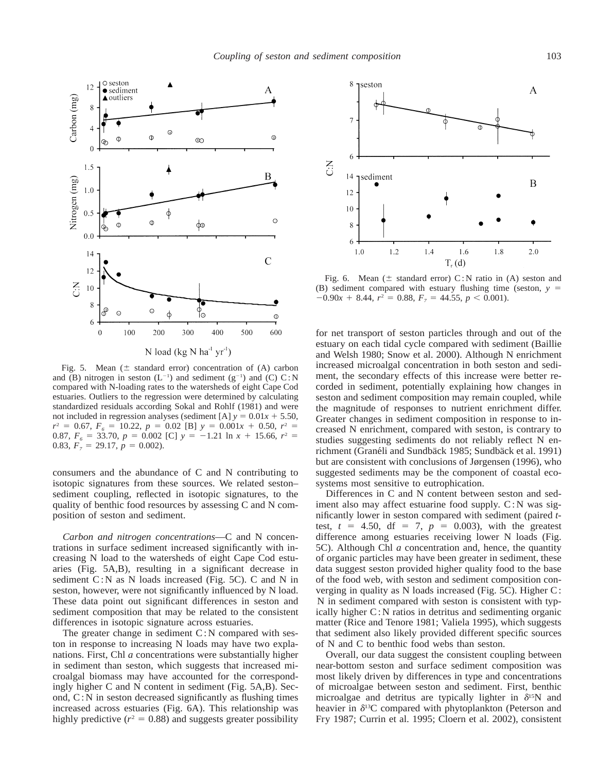

Fig. 5. Mean ( $\pm$  standard error) concentration of (A) carbon and (B) nitrogen in seston  $(L^{-1})$  and sediment  $(g^{-1})$  and  $(C)$  C:N compared with N-loading rates to the watersheds of eight Cape Cod estuaries. Outliers to the regression were determined by calculating standardized residuals according Sokal and Rohlf (1981) and were not included in regression analyses (sediment [A]  $y = 0.01x + 5.50$ ,  $r^2 = 0.67$ ,  $F_6 = 10.22$ ,  $p = 0.02$  [B]  $y = 0.001x + 0.50$ ,  $r^2 =$ 0.87,  $F_6 = 33.70$ ,  $p = 0.002$  [C]  $y = -1.21$  ln  $x + 15.66$ ,  $r^2 =$ 0.83,  $F_7 = 29.17$ ,  $p = 0.002$ ).

consumers and the abundance of C and N contributing to isotopic signatures from these sources. We related seston– sediment coupling, reflected in isotopic signatures, to the quality of benthic food resources by assessing C and N composition of seston and sediment.

*Carbon and nitrogen concentrations*—C and N concentrations in surface sediment increased significantly with increasing N load to the watersheds of eight Cape Cod estuaries (Fig. 5A,B), resulting in a significant decrease in sediment C: N as N loads increased (Fig. 5C). C and N in seston, however, were not significantly influenced by N load. These data point out significant differences in seston and sediment composition that may be related to the consistent differences in isotopic signature across estuaries.

The greater change in sediment  $C: N$  compared with seston in response to increasing N loads may have two explanations. First, Chl *a* concentrations were substantially higher in sediment than seston, which suggests that increased microalgal biomass may have accounted for the correspondingly higher C and N content in sediment (Fig. 5A,B). Second,  $C: N$  in seston decreased significantly as flushing times increased across estuaries (Fig. 6A). This relationship was highly predictive  $(r^2 = 0.88)$  and suggests greater possibility



Fig. 6. Mean ( $\pm$  standard error) C:N ratio in (A) seston and (B) sediment compared with estuary flushing time (seston,  $y =$  $-0.90x + 8.44$ ,  $r^2 = 0.88$ ,  $F_7 = 44.55$ ,  $p < 0.001$ ).

for net transport of seston particles through and out of the estuary on each tidal cycle compared with sediment (Baillie and Welsh 1980; Snow et al. 2000). Although N enrichment increased microalgal concentration in both seston and sediment, the secondary effects of this increase were better recorded in sediment, potentially explaining how changes in seston and sediment composition may remain coupled, while the magnitude of responses to nutrient enrichment differ. Greater changes in sediment composition in response to increased N enrichment, compared with seston, is contrary to studies suggesting sediments do not reliably reflect N enrichment (Granéli and Sundbäck 1985; Sundbäck et al. 1991) but are consistent with conclusions of Jørgensen (1996), who suggested sediments may be the component of coastal ecosystems most sensitive to eutrophication.

Differences in C and N content between seston and sediment also may affect estuarine food supply. C: N was significantly lower in seston compared with sediment (paired *t*test,  $t = 4.50$ , df = 7,  $p = 0.003$ ), with the greatest difference among estuaries receiving lower N loads (Fig. 5C). Although Chl *a* concentration and, hence, the quantity of organic particles may have been greater in sediment, these data suggest seston provided higher quality food to the base of the food web, with seston and sediment composition converging in quality as N loads increased (Fig. 5C). Higher C : N in sediment compared with seston is consistent with typically higher C : N ratios in detritus and sedimenting organic matter (Rice and Tenore 1981; Valiela 1995), which suggests that sediment also likely provided different specific sources of N and C to benthic food webs than seston.

Overall, our data suggest the consistent coupling between near-bottom seston and surface sediment composition was most likely driven by differences in type and concentrations of microalgae between seston and sediment. First, benthic microalgae and detritus are typically lighter in  $\delta^{15}N$  and heavier in  $\delta^{13}$ C compared with phytoplankton (Peterson and Fry 1987; Currin et al. 1995; Cloern et al. 2002), consistent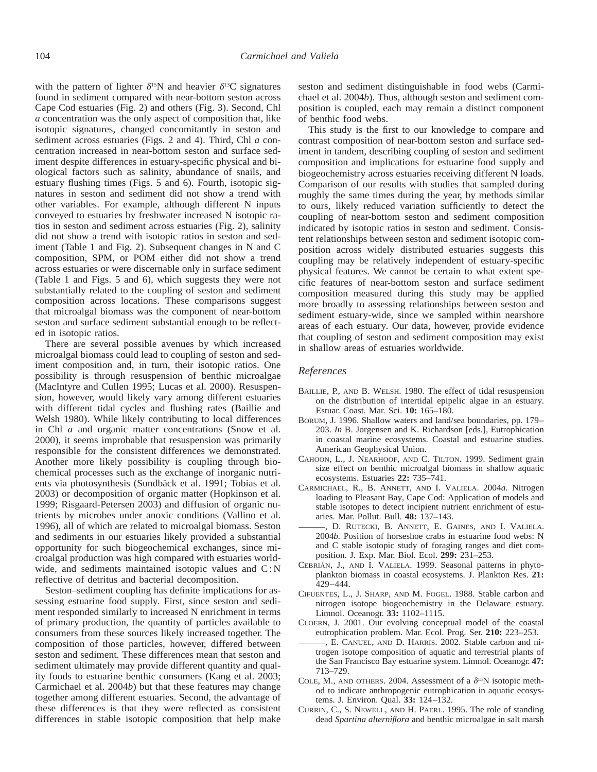with the pattern of lighter  $\delta^{15}N$  and heavier  $\delta^{13}C$  signatures found in sediment compared with near-bottom seston across Cape Cod estuaries (Fig. 2) and others (Fig. 3). Second, Chl *a* concentration was the only aspect of composition that, like isotopic signatures, changed concomitantly in seston and sediment across estuaries (Figs. 2 and 4). Third, Chl *a* concentration increased in near-bottom seston and surface sediment despite differences in estuary-specific physical and biological factors such as salinity, abundance of snails, and estuary flushing times (Figs. 5 and 6). Fourth, isotopic signatures in seston and sediment did not show a trend with other variables. For example, although different N inputs conveyed to estuaries by freshwater increased N isotopic ratios in seston and sediment across estuaries (Fig. 2), salinity did not show a trend with isotopic ratios in seston and sediment (Table 1 and Fig. 2). Subsequent changes in N and C composition, SPM, or POM either did not show a trend across estuaries or were discernable only in surface sediment (Table 1 and Figs. 5 and 6), which suggests they were not substantially related to the coupling of seston and sediment composition across locations. These comparisons suggest that microalgal biomass was the component of near-bottom seston and surface sediment substantial enough to be reflected in isotopic ratios.

There are several possible avenues by which increased microalgal biomass could lead to coupling of seston and sediment composition and, in turn, their isotopic ratios. One possibility is through resuspension of benthic microalgae (MacIntyre and Cullen 1995; Lucas et al. 2000). Resuspension, however, would likely vary among different estuaries with different tidal cycles and flushing rates (Baillie and Welsh 1980). While likely contributing to local differences in Chl *a* and organic matter concentrations (Snow et al. 2000), it seems improbable that resuspension was primarily responsible for the consistent differences we demonstrated. Another more likely possibility is coupling through biochemical processes such as the exchange of inorganic nutrients via photosynthesis (Sundbäck et al. 1991; Tobias et al. 2003) or decomposition of organic matter (Hopkinson et al. 1999; Risgaard-Petersen 2003) and diffusion of organic nutrients by microbes under anoxic conditions (Vallino et al. 1996), all of which are related to microalgal biomass. Seston and sediments in our estuaries likely provided a substantial opportunity for such biogeochemical exchanges, since microalgal production was high compared with estuaries worldwide, and sediments maintained isotopic values and C:N reflective of detritus and bacterial decomposition.

Seston–sediment coupling has definite implications for assessing estuarine food supply. First, since seston and sediment responded similarly to increased N enrichment in terms of primary production, the quantity of particles available to consumers from these sources likely increased together. The composition of those particles, however, differed between seston and sediment. These differences mean that seston and sediment ultimately may provide different quantity and quality foods to estuarine benthic consumers (Kang et al. 2003; Carmichael et al. 2004*b*) but that these features may change together among different estuaries. Second, the advantage of these differences is that they were reflected as consistent differences in stable isotopic composition that help make

seston and sediment distinguishable in food webs (Carmichael et al. 2004*b*). Thus, although seston and sediment composition is coupled, each may remain a distinct component of benthic food webs.

This study is the first to our knowledge to compare and contrast composition of near-bottom seston and surface sediment in tandem, describing coupling of seston and sediment composition and implications for estuarine food supply and biogeochemistry across estuaries receiving different N loads. Comparison of our results with studies that sampled during roughly the same times during the year, by methods similar to ours, likely reduced variation sufficiently to detect the coupling of near-bottom seston and sediment composition indicated by isotopic ratios in seston and sediment. Consistent relationships between seston and sediment isotopic composition across widely distributed estuaries suggests this coupling may be relatively independent of estuary-specific physical features. We cannot be certain to what extent specific features of near-bottom seston and surface sediment composition measured during this study may be applied more broadly to assessing relationships between seston and sediment estuary-wide, since we sampled within nearshore areas of each estuary. Our data, however, provide evidence that coupling of seston and sediment composition may exist in shallow areas of estuaries worldwide.

## *References*

- BAILLIE, P., AND B. WELSH. 1980. The effect of tidal resuspension on the distribution of intertidal epipelic algae in an estuary. Estuar. Coast. Mar. Sci. **10:** 165–180.
- BORUM, J. 1996. Shallow waters and land/sea boundaries, pp. 179– 203. *In* B. Jorgensen and K. Richardson [eds.], Eutrophication in coastal marine ecosystems. Coastal and estuarine studies. American Geophysical Union.
- CAHOON, L., J. NEARHOOF, AND C. TILTON. 1999. Sediment grain size effect on benthic microalgal biomass in shallow aquatic ecosystems. Estuaries **22:** 735–741.
- CARMICHAEL, R., B. ANNETT, AND I. VALIELA. 2004*a.* Nitrogen loading to Pleasant Bay, Cape Cod: Application of models and stable isotopes to detect incipient nutrient enrichment of estuaries. Mar. Pollut. Bull. **48:** 137–143.
- , D. RUTECKI, B. ANNETT, E. GAINES, AND I. VALIELA. 2004*b.* Position of horseshoe crabs in estuarine food webs: N and C stable isotopic study of foraging ranges and diet composition. J. Exp. Mar. Biol. Ecol. **299:** 231–253.
- CEBRIÁN, J., AND I. VALIELA. 1999. Seasonal patterns in phytoplankton biomass in coastal ecosystems. J. Plankton Res. **21:** 429–444.
- CIFUENTES, L., J. SHARP, AND M. FOGEL. 1988. Stable carbon and [nitrogen isotope biogeochemistry in the Delaware estuary.](http://www.aslo.org/lo/pdf/vol_33/issue_5/1102.pdf) Limnol. Oceanogr. **33:** 1102–1115.
- CLOERN, J. 2001. Our evolving conceptual model of the coastal eutrophication problem. Mar. Ecol. Prog. Ser. **210:** 223–253.
- , E. CANUEL, AND D. HARRIS. 2002. Stable carbon and ni[trogen isotope composition of aquatic and terrestrial plants of](http://www.aslo.org/lo/toc/vol_47/issue_3/0713.pdf) the San Francisco Bay estuarine system. Limnol. Oceanogr. **47:** 713–729.
- COLE, M., AND OTHERS. 2004. Assessment of a  $\delta^{15}N$  isotopic method to indicate anthropogenic eutrophication in aquatic ecosystems. J. Environ. Qual. **33:** 124–132.
- CURRIN, C., S. NEWELL, AND H. PAERL. 1995. The role of standing dead *Spartina alterniflora* and benthic microalgae in salt marsh